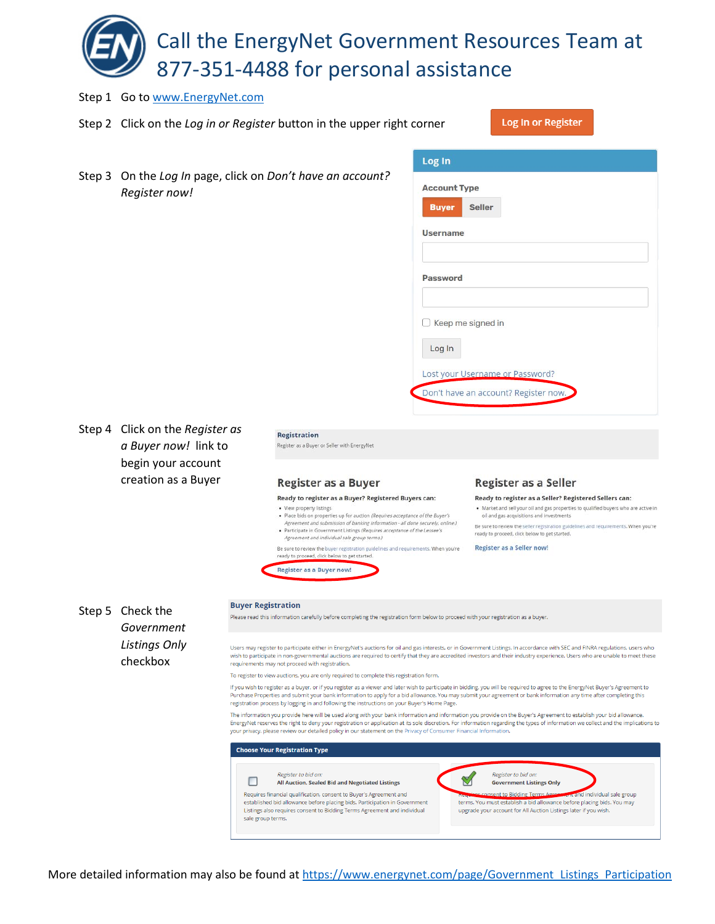Call the EnergyNet Government Resources Team at 877-351-4488 for personal assistance

Step 1 Go t[o www.EnergyNet.com](http://www.energynet.com/) Log In or Register Step 2 Click on the *Log in or Register* button in the upper right corner Log In Step 3 On the *Log In* page, click on *Don't have an account?*  **Account Type** *Register now!* **Seller Buver Username Password**  $\Box$  Keep me signed in Log In Lost your Username or Password? Don't have an account? Register now. Step 4 Click on the *Register as*  **Registration** *a Buyer now!* link to Register as a Buyer or Seller with EnergyNet begin your account creation as a Buyer **Register as a Buyer** Register as a Seller Ready to register as a Buyer? Registered Buyers can: Ready to register as a Seller? Registered Sellers can: . Market and sell your oil and gas properties to qualified buyers who are active in View property listings . Place bids on properties up for auction (Requires acceptance of the Buyer's oil and gas acquisitions and investments Agreement and submission of banking information - all done securely, online.)<br>• Participate in Government Listings (Requires acceptance of the Lessee's Be sure to review the seller registration guidelines and requirements. When you're ready to proceed, click below to get started. Agreement and individual sale group terms.) Register as a Seller now! Be sure to review the buyer registration guidelines and requirements. When you're ready to proceed, click below to get started. Register as a Buyer now! **Buyer Registration** Step 5 Check the Please read this information carefully before completing the registration form below to proceed with your registration as a buyer. *Government Listings Only* Users may register to participate either in EnergyNet's auctions for oil and gas interests, or in Government Listings. In accordance with SEC and FINRA regulations, users who wish to participate in non-governmental auctions are required to certify that they are accredited investors and their industry experience. Users who are unable to meet these checkboxrequirements may not proceed with registration. To register to view auctions, you are only required to complete this registration form If you wish to register as a buyer, or if you register as a viewer and later wish to participate in bidding, you will be required to agree to the EnergyNet Buyer's Agreement to Purchase Properties and submit your bank information to apply for a bid allowance. You may submit your agreement or bank information any time after completing this registration process by logging in and following the instructions on your Buyer's Home Page. The information you provide here will be used along with your bank information and information you provide on the Buyer's Agreement to establish your bid allowance. EnergyNet reserves the right to deny your registration or application at its sole discretion. For information regarding the types of information we collect and the implications to<br>your privacy, please review our detailed p **Choose Your Registration Type** Register to bid on: Register to bid on.  $\boxtimes$  $\Box$ All Auction, Sealed Bid and Negotiated Listings **Government Listings Only** Requires financial qualification, consent to Buyer's Agreement and sent to Bidding Ter d individual sale group terms. You must establish a bid allowance before placing bids. You may established bid allowance before placing bids. Participation in Government Listings also requires consent to Bidding Terms Agreement and individual upgrade your account for All Auction Listings later if you wish.

sale group terms.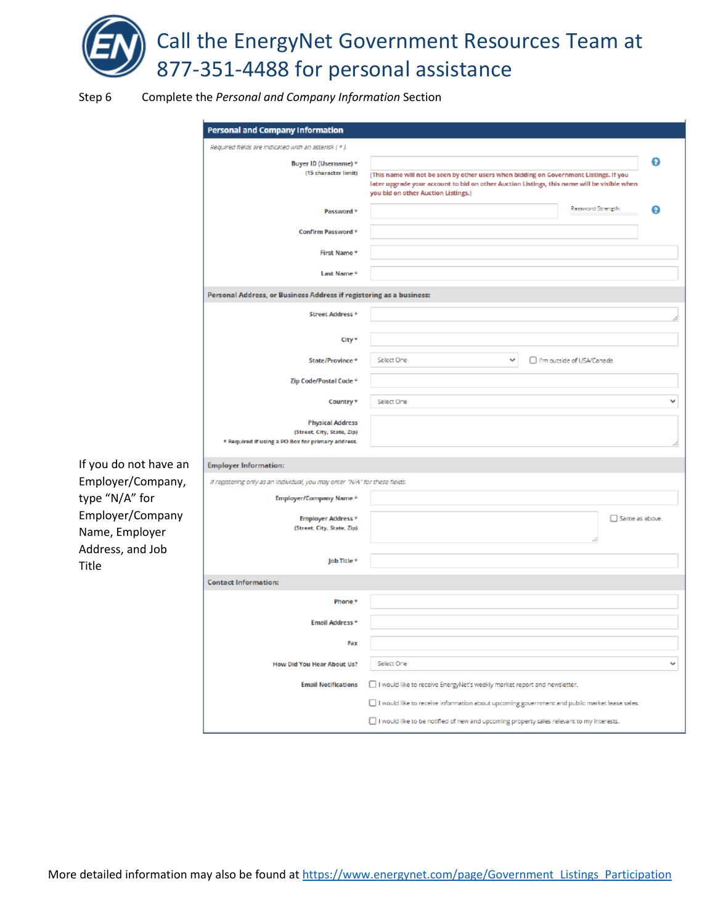

Step 6 Complete the *Personal and Company Information* Section

| <b>Personal and Company Information</b>                                                                    |                                                                                                                                                                                                                                   |   |  |
|------------------------------------------------------------------------------------------------------------|-----------------------------------------------------------------------------------------------------------------------------------------------------------------------------------------------------------------------------------|---|--|
| Required fields are indicated with an asterisk [ * ].                                                      |                                                                                                                                                                                                                                   |   |  |
| Buyer ID (Username) *<br>(15 character limit)                                                              | ø<br>(This name will not be seen by other users when bidding on Government Listings. If you<br>later upgrade your account to bid on other Auction Listings, this name will be visible when<br>you bid on other Auction Listings.) |   |  |
| Password *                                                                                                 | Password Strength:                                                                                                                                                                                                                | Ø |  |
| Confirm Password *                                                                                         |                                                                                                                                                                                                                                   |   |  |
| First Name*                                                                                                |                                                                                                                                                                                                                                   |   |  |
| Last Name*                                                                                                 |                                                                                                                                                                                                                                   |   |  |
| Personal Address, or Business Address if registering as a business:                                        |                                                                                                                                                                                                                                   |   |  |
| Street Address *                                                                                           |                                                                                                                                                                                                                                   |   |  |
| City*                                                                                                      |                                                                                                                                                                                                                                   |   |  |
| State/Province*                                                                                            | Select One<br>v<br>□ I'm outside of USA/Canada                                                                                                                                                                                    |   |  |
| Zip Code/Postal Code *                                                                                     |                                                                                                                                                                                                                                   |   |  |
| Country *                                                                                                  | Select One                                                                                                                                                                                                                        | v |  |
| <b>Physical Address</b><br>(Street, City, State, Zip)<br>* Required if using a PO Box for primary address. |                                                                                                                                                                                                                                   |   |  |
| <b>Employer Information:</b>                                                                               |                                                                                                                                                                                                                                   |   |  |
| If registering only as an individual, you may enter "N/A" for these fields.                                |                                                                                                                                                                                                                                   |   |  |
| Employer/Company Name*                                                                                     |                                                                                                                                                                                                                                   |   |  |
| Employer Address *<br>(Street, City, State, Zip)                                                           | $\Box$ Same as above.                                                                                                                                                                                                             |   |  |
| Job Title *                                                                                                |                                                                                                                                                                                                                                   |   |  |
| <b>Contact Information:</b>                                                                                |                                                                                                                                                                                                                                   |   |  |
| Phone *                                                                                                    |                                                                                                                                                                                                                                   |   |  |
| Email Address*                                                                                             |                                                                                                                                                                                                                                   |   |  |
| Fax                                                                                                        |                                                                                                                                                                                                                                   |   |  |
| How Did You Hear About Us?                                                                                 | Select One                                                                                                                                                                                                                        | v |  |
| <b>Email Notifications</b>                                                                                 | I would like to receive EnergyNet's weekly market report and newsletter.                                                                                                                                                          |   |  |
|                                                                                                            | I would like to receive information about upcoming government and public market lease sales.                                                                                                                                      |   |  |
|                                                                                                            | I would like to be notified of new and upcoming property sales relevant to my interests.                                                                                                                                          |   |  |

If you do not have an Employer/Company, type "N/A" for Employer/Company Name, Employer Address, and Job Title